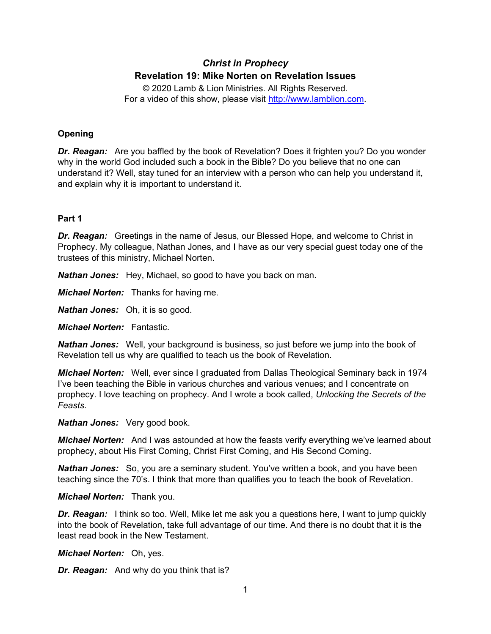# *Christ in Prophecy* **Revelation 19: Mike Norten on Revelation Issues**

© 2020 Lamb & Lion Ministries. All Rights Reserved. For a video of this show, please visit [http://www.lamblion.com.](http://www.lamblion.com/)

# **Opening**

*Dr. Reagan:* Are you baffled by the book of Revelation? Does it frighten you? Do you wonder why in the world God included such a book in the Bible? Do you believe that no one can understand it? Well, stay tuned for an interview with a person who can help you understand it, and explain why it is important to understand it.

# **Part 1**

*Dr. Reagan:* Greetings in the name of Jesus, our Blessed Hope, and welcome to Christ in Prophecy. My colleague, Nathan Jones, and I have as our very special guest today one of the trustees of this ministry, Michael Norten.

*Nathan Jones:* Hey, Michael, so good to have you back on man.

*Michael Norten:* Thanks for having me.

*Nathan Jones:* Oh, it is so good.

*Michael Norten:* Fantastic.

*Nathan Jones:* Well, your background is business, so just before we jump into the book of Revelation tell us why are qualified to teach us the book of Revelation.

*Michael Norten:* Well, ever since I graduated from Dallas Theological Seminary back in 1974 I've been teaching the Bible in various churches and various venues; and I concentrate on prophecy. I love teaching on prophecy. And I wrote a book called, *Unlocking the Secrets of the Feasts*.

*Nathan Jones:* Very good book.

*Michael Norten:* And I was astounded at how the feasts verify everything we've learned about prophecy, about His First Coming, Christ First Coming, and His Second Coming.

*Nathan Jones:* So, you are a seminary student. You've written a book, and you have been teaching since the 70's. I think that more than qualifies you to teach the book of Revelation.

*Michael Norten:* Thank you.

*Dr. Reagan:* I think so too. Well, Mike let me ask you a questions here, I want to jump quickly into the book of Revelation, take full advantage of our time. And there is no doubt that it is the least read book in the New Testament.

*Michael Norten:* Oh, yes.

*Dr. Reagan:* And why do you think that is?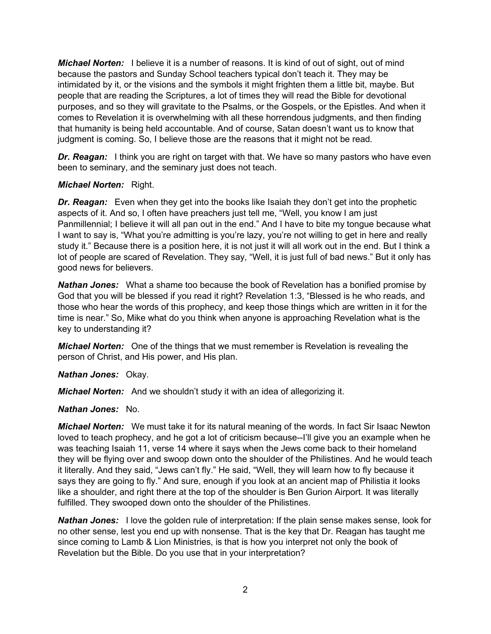*Michael Norten:* I believe it is a number of reasons. It is kind of out of sight, out of mind because the pastors and Sunday School teachers typical don't teach it. They may be intimidated by it, or the visions and the symbols it might frighten them a little bit, maybe. But people that are reading the Scriptures, a lot of times they will read the Bible for devotional purposes, and so they will gravitate to the Psalms, or the Gospels, or the Epistles. And when it comes to Revelation it is overwhelming with all these horrendous judgments, and then finding that humanity is being held accountable. And of course, Satan doesn't want us to know that judgment is coming. So, I believe those are the reasons that it might not be read.

*Dr. Reagan:* I think you are right on target with that. We have so many pastors who have even been to seminary, and the seminary just does not teach.

# *Michael Norten:* Right.

**Dr. Reagan:** Even when they get into the books like Isaiah they don't get into the prophetic aspects of it. And so, I often have preachers just tell me, "Well, you know I am just Panmillennial; I believe it will all pan out in the end." And I have to bite my tongue because what I want to say is, "What you're admitting is you're lazy, you're not willing to get in here and really study it." Because there is a position here, it is not just it will all work out in the end. But I think a lot of people are scared of Revelation. They say, "Well, it is just full of bad news." But it only has good news for believers.

*Nathan Jones:* What a shame too because the book of Revelation has a bonified promise by God that you will be blessed if you read it right? Revelation 1:3, "Blessed is he who reads, and those who hear the words of this prophecy, and keep those things which are written in it for the time is near." So, Mike what do you think when anyone is approaching Revelation what is the key to understanding it?

*Michael Norten:* One of the things that we must remember is Revelation is revealing the person of Christ, and His power, and His plan.

*Nathan Jones:* Okay.

*Michael Norten:* And we shouldn't study it with an idea of allegorizing it.

# *Nathan Jones:* No.

*Michael Norten:* We must take it for its natural meaning of the words. In fact Sir Isaac Newton loved to teach prophecy, and he got a lot of criticism because--I'll give you an example when he was teaching Isaiah 11, verse 14 where it says when the Jews come back to their homeland they will be flying over and swoop down onto the shoulder of the Philistines. And he would teach it literally. And they said, "Jews can't fly." He said, "Well, they will learn how to fly because it says they are going to fly." And sure, enough if you look at an ancient map of Philistia it looks like a shoulder, and right there at the top of the shoulder is Ben Gurion Airport. It was literally fulfilled. They swooped down onto the shoulder of the Philistines.

*Nathan Jones:* I love the golden rule of interpretation: If the plain sense makes sense, look for no other sense, lest you end up with nonsense. That is the key that Dr. Reagan has taught me since coming to Lamb & Lion Ministries, is that is how you interpret not only the book of Revelation but the Bible. Do you use that in your interpretation?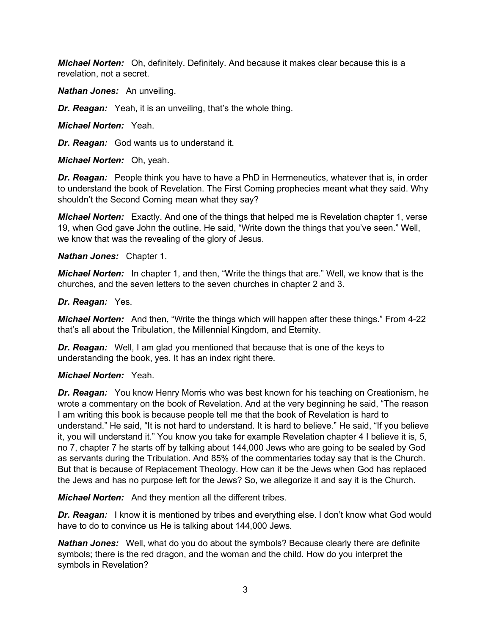*Michael Norten:* Oh, definitely. Definitely. And because it makes clear because this is a revelation, not a secret.

*Nathan Jones:* An unveiling.

*Dr. Reagan:* Yeah, it is an unveiling, that's the whole thing.

*Michael Norten:* Yeah.

*Dr. Reagan:* God wants us to understand it.

*Michael Norten:* Oh, yeah.

*Dr. Reagan:* People think you have to have a PhD in Hermeneutics, whatever that is, in order to understand the book of Revelation. The First Coming prophecies meant what they said. Why shouldn't the Second Coming mean what they say?

*Michael Norten:* Exactly. And one of the things that helped me is Revelation chapter 1, verse 19, when God gave John the outline. He said, "Write down the things that you've seen." Well, we know that was the revealing of the glory of Jesus.

*Nathan Jones:* Chapter 1.

*Michael Norten:* In chapter 1, and then, "Write the things that are." Well, we know that is the churches, and the seven letters to the seven churches in chapter 2 and 3.

#### *Dr. Reagan:* Yes.

*Michael Norten:* And then, "Write the things which will happen after these things." From 4-22 that's all about the Tribulation, the Millennial Kingdom, and Eternity.

*Dr. Reagan:* Well, I am glad you mentioned that because that is one of the keys to understanding the book, yes. It has an index right there.

# *Michael Norten:* Yeah.

*Dr. Reagan:* You know Henry Morris who was best known for his teaching on Creationism, he wrote a commentary on the book of Revelation. And at the very beginning he said, "The reason I am writing this book is because people tell me that the book of Revelation is hard to understand." He said, "It is not hard to understand. It is hard to believe." He said, "If you believe it, you will understand it." You know you take for example Revelation chapter 4 I believe it is, 5, no 7, chapter 7 he starts off by talking about 144,000 Jews who are going to be sealed by God as servants during the Tribulation. And 85% of the commentaries today say that is the Church. But that is because of Replacement Theology. How can it be the Jews when God has replaced the Jews and has no purpose left for the Jews? So, we allegorize it and say it is the Church.

*Michael Norten:* And they mention all the different tribes.

**Dr. Reagan:** I know it is mentioned by tribes and everything else. I don't know what God would have to do to convince us He is talking about 144,000 Jews.

*Nathan Jones:* Well, what do you do about the symbols? Because clearly there are definite symbols; there is the red dragon, and the woman and the child. How do you interpret the symbols in Revelation?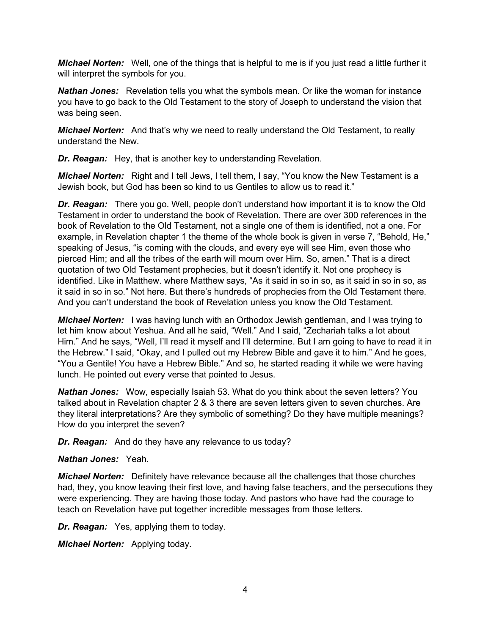*Michael Norten:* Well, one of the things that is helpful to me is if you just read a little further it will interpret the symbols for you.

*Nathan Jones:* Revelation tells you what the symbols mean. Or like the woman for instance you have to go back to the Old Testament to the story of Joseph to understand the vision that was being seen.

*Michael Norten:* And that's why we need to really understand the Old Testament, to really understand the New.

*Dr. Reagan:* Hey, that is another key to understanding Revelation.

*Michael Norten:* Right and I tell Jews, I tell them, I say, "You know the New Testament is a Jewish book, but God has been so kind to us Gentiles to allow us to read it."

*Dr. Reagan:* There you go. Well, people don't understand how important it is to know the Old Testament in order to understand the book of Revelation. There are over 300 references in the book of Revelation to the Old Testament, not a single one of them is identified, not a one. For example, in Revelation chapter 1 the theme of the whole book is given in verse 7, "Behold, He," speaking of Jesus, "is coming with the clouds, and every eye will see Him, even those who pierced Him; and all the tribes of the earth will mourn over Him. So, amen." That is a direct quotation of two Old Testament prophecies, but it doesn't identify it. Not one prophecy is identified. Like in Matthew. where Matthew says, "As it said in so in so, as it said in so in so, as it said in so in so." Not here. But there's hundreds of prophecies from the Old Testament there. And you can't understand the book of Revelation unless you know the Old Testament.

*Michael Norten:* I was having lunch with an Orthodox Jewish gentleman, and I was trying to let him know about Yeshua. And all he said, "Well." And I said, "Zechariah talks a lot about Him." And he says, "Well, I'll read it myself and I'll determine. But I am going to have to read it in the Hebrew." I said, "Okay, and I pulled out my Hebrew Bible and gave it to him." And he goes, "You a Gentile! You have a Hebrew Bible." And so, he started reading it while we were having lunch. He pointed out every verse that pointed to Jesus.

*Nathan Jones:* Wow, especially Isaiah 53. What do you think about the seven letters? You talked about in Revelation chapter 2 & 3 there are seven letters given to seven churches. Are they literal interpretations? Are they symbolic of something? Do they have multiple meanings? How do you interpret the seven?

*Dr. Reagan:* And do they have any relevance to us today?

*Nathan Jones:* Yeah.

*Michael Norten:* Definitely have relevance because all the challenges that those churches had, they, you know leaving their first love, and having false teachers, and the persecutions they were experiencing. They are having those today. And pastors who have had the courage to teach on Revelation have put together incredible messages from those letters.

*Dr. Reagan:* Yes, applying them to today.

*Michael Norten:* Applying today.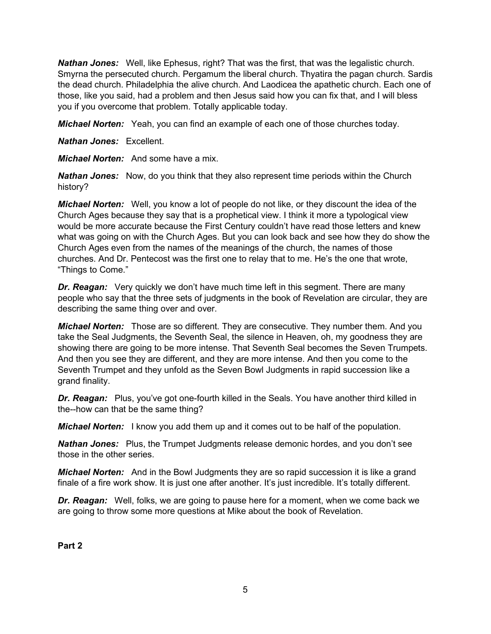*Nathan Jones:* Well, like Ephesus, right? That was the first, that was the legalistic church. Smyrna the persecuted church. Pergamum the liberal church. Thyatira the pagan church. Sardis the dead church. Philadelphia the alive church. And Laodicea the apathetic church. Each one of those, like you said, had a problem and then Jesus said how you can fix that, and I will bless you if you overcome that problem. Totally applicable today.

*Michael Norten:* Yeah, you can find an example of each one of those churches today.

*Nathan Jones:* Excellent.

*Michael Norten:* And some have a mix.

*Nathan Jones:* Now, do you think that they also represent time periods within the Church history?

*Michael Norten:* Well, you know a lot of people do not like, or they discount the idea of the Church Ages because they say that is a prophetical view. I think it more a typological view would be more accurate because the First Century couldn't have read those letters and knew what was going on with the Church Ages. But you can look back and see how they do show the Church Ages even from the names of the meanings of the church, the names of those churches. And Dr. Pentecost was the first one to relay that to me. He's the one that wrote, "Things to Come."

*Dr. Reagan:* Very quickly we don't have much time left in this segment. There are many people who say that the three sets of judgments in the book of Revelation are circular, they are describing the same thing over and over.

*Michael Norten:* Those are so different. They are consecutive. They number them. And you take the Seal Judgments, the Seventh Seal, the silence in Heaven, oh, my goodness they are showing there are going to be more intense. That Seventh Seal becomes the Seven Trumpets. And then you see they are different, and they are more intense. And then you come to the Seventh Trumpet and they unfold as the Seven Bowl Judgments in rapid succession like a grand finality.

*Dr. Reagan:* Plus, you've got one-fourth killed in the Seals. You have another third killed in the--how can that be the same thing?

*Michael Norten:* I know you add them up and it comes out to be half of the population.

*Nathan Jones:* Plus, the Trumpet Judgments release demonic hordes, and you don't see those in the other series.

*Michael Norten:* And in the Bowl Judgments they are so rapid succession it is like a grand finale of a fire work show. It is just one after another. It's just incredible. It's totally different.

*Dr. Reagan:* Well, folks, we are going to pause here for a moment, when we come back we are going to throw some more questions at Mike about the book of Revelation.

**Part 2**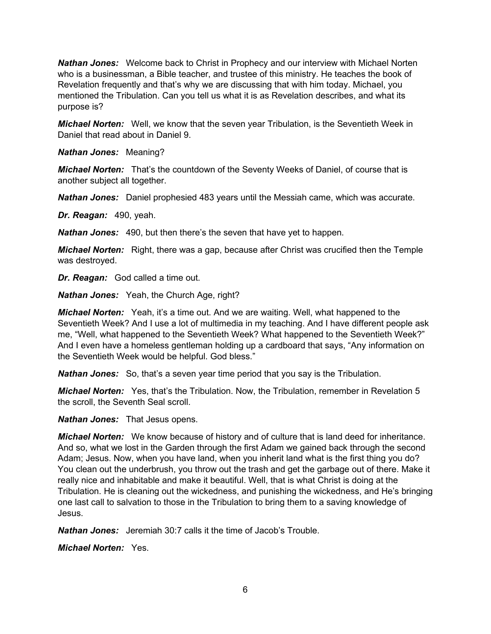*Nathan Jones:* Welcome back to Christ in Prophecy and our interview with Michael Norten who is a businessman, a Bible teacher, and trustee of this ministry. He teaches the book of Revelation frequently and that's why we are discussing that with him today. Michael, you mentioned the Tribulation. Can you tell us what it is as Revelation describes, and what its purpose is?

*Michael Norten:* Well, we know that the seven year Tribulation, is the Seventieth Week in Daniel that read about in Daniel 9.

*Nathan Jones:* Meaning?

*Michael Norten:* That's the countdown of the Seventy Weeks of Daniel, of course that is another subject all together.

*Nathan Jones:* Daniel prophesied 483 years until the Messiah came, which was accurate.

*Dr. Reagan:* 490, yeah.

*Nathan Jones:* 490, but then there's the seven that have yet to happen.

*Michael Norten:* Right, there was a gap, because after Christ was crucified then the Temple was destroyed.

*Dr. Reagan:* God called a time out.

*Nathan Jones:* Yeah, the Church Age, right?

*Michael Norten:* Yeah, it's a time out. And we are waiting. Well, what happened to the Seventieth Week? And I use a lot of multimedia in my teaching. And I have different people ask me, "Well, what happened to the Seventieth Week? What happened to the Seventieth Week?" And I even have a homeless gentleman holding up a cardboard that says, "Any information on the Seventieth Week would be helpful. God bless."

*Nathan Jones:* So, that's a seven year time period that you say is the Tribulation.

*Michael Norten:* Yes, that's the Tribulation. Now, the Tribulation, remember in Revelation 5 the scroll, the Seventh Seal scroll.

*Nathan Jones:* That Jesus opens.

*Michael Norten:* We know because of history and of culture that is land deed for inheritance. And so, what we lost in the Garden through the first Adam we gained back through the second Adam; Jesus. Now, when you have land, when you inherit land what is the first thing you do? You clean out the underbrush, you throw out the trash and get the garbage out of there. Make it really nice and inhabitable and make it beautiful. Well, that is what Christ is doing at the Tribulation. He is cleaning out the wickedness, and punishing the wickedness, and He's bringing one last call to salvation to those in the Tribulation to bring them to a saving knowledge of Jesus.

*Nathan Jones:* Jeremiah 30:7 calls it the time of Jacob's Trouble.

*Michael Norten:* Yes.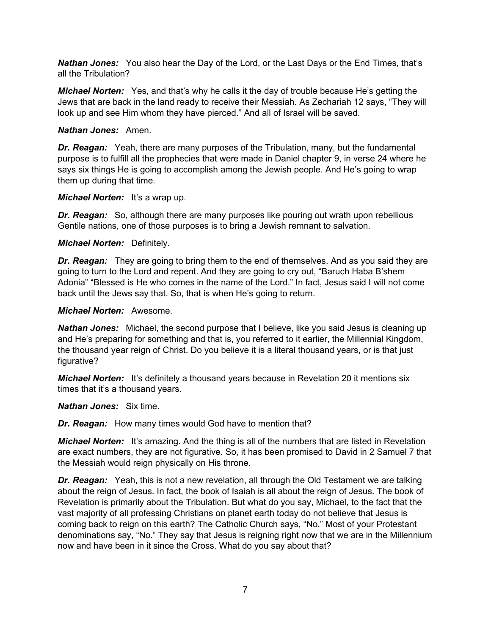*Nathan Jones:* You also hear the Day of the Lord, or the Last Days or the End Times, that's all the Tribulation?

*Michael Norten:* Yes, and that's why he calls it the day of trouble because He's getting the Jews that are back in the land ready to receive their Messiah. As Zechariah 12 says, "They will look up and see Him whom they have pierced." And all of Israel will be saved.

### *Nathan Jones:* Amen.

*Dr. Reagan:* Yeah, there are many purposes of the Tribulation, many, but the fundamental purpose is to fulfill all the prophecies that were made in Daniel chapter 9, in verse 24 where he says six things He is going to accomplish among the Jewish people. And He's going to wrap them up during that time.

#### *Michael Norten:* It's a wrap up.

*Dr. Reagan:* So, although there are many purposes like pouring out wrath upon rebellious Gentile nations, one of those purposes is to bring a Jewish remnant to salvation.

### *Michael Norten:* Definitely.

*Dr. Reagan:* They are going to bring them to the end of themselves. And as you said they are going to turn to the Lord and repent. And they are going to cry out, "Baruch Haba B'shem Adonia" "Blessed is He who comes in the name of the Lord." In fact, Jesus said I will not come back until the Jews say that. So, that is when He's going to return.

### *Michael Norten:* Awesome.

**Nathan Jones:** Michael, the second purpose that I believe, like you said Jesus is cleaning up and He's preparing for something and that is, you referred to it earlier, the Millennial Kingdom, the thousand year reign of Christ. Do you believe it is a literal thousand years, or is that just figurative?

*Michael Norten:* It's definitely a thousand years because in Revelation 20 it mentions six times that it's a thousand years.

#### *Nathan Jones:* Six time.

*Dr. Reagan:* How many times would God have to mention that?

*Michael Norten:* It's amazing. And the thing is all of the numbers that are listed in Revelation are exact numbers, they are not figurative. So, it has been promised to David in 2 Samuel 7 that the Messiah would reign physically on His throne.

*Dr. Reagan:* Yeah, this is not a new revelation, all through the Old Testament we are talking about the reign of Jesus. In fact, the book of Isaiah is all about the reign of Jesus. The book of Revelation is primarily about the Tribulation. But what do you say, Michael, to the fact that the vast majority of all professing Christians on planet earth today do not believe that Jesus is coming back to reign on this earth? The Catholic Church says, "No." Most of your Protestant denominations say, "No." They say that Jesus is reigning right now that we are in the Millennium now and have been in it since the Cross. What do you say about that?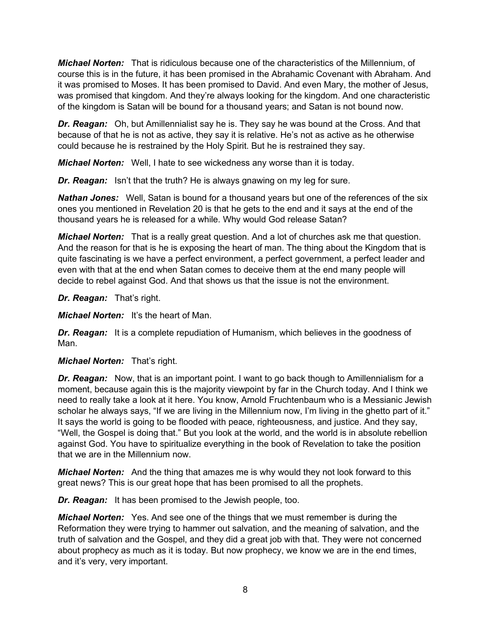*Michael Norten:* That is ridiculous because one of the characteristics of the Millennium, of course this is in the future, it has been promised in the Abrahamic Covenant with Abraham. And it was promised to Moses. It has been promised to David. And even Mary, the mother of Jesus, was promised that kingdom. And they're always looking for the kingdom. And one characteristic of the kingdom is Satan will be bound for a thousand years; and Satan is not bound now.

*Dr. Reagan:* Oh, but Amillennialist say he is. They say he was bound at the Cross. And that because of that he is not as active, they say it is relative. He's not as active as he otherwise could because he is restrained by the Holy Spirit. But he is restrained they say.

*Michael Norten:* Well, I hate to see wickedness any worse than it is today.

**Dr. Reagan:** Isn't that the truth? He is always gnawing on my leg for sure.

**Nathan Jones:** Well, Satan is bound for a thousand years but one of the references of the six ones you mentioned in Revelation 20 is that he gets to the end and it says at the end of the thousand years he is released for a while. Why would God release Satan?

*Michael Norten:* That is a really great question. And a lot of churches ask me that question. And the reason for that is he is exposing the heart of man. The thing about the Kingdom that is quite fascinating is we have a perfect environment, a perfect government, a perfect leader and even with that at the end when Satan comes to deceive them at the end many people will decide to rebel against God. And that shows us that the issue is not the environment.

*Dr. Reagan:* That's right.

*Michael Norten:* It's the heart of Man.

*Dr. Reagan:* It is a complete repudiation of Humanism, which believes in the goodness of Man.

# *Michael Norten:* That's right.

*Dr. Reagan:* Now, that is an important point. I want to go back though to Amillennialism for a moment, because again this is the majority viewpoint by far in the Church today. And I think we need to really take a look at it here. You know, Arnold Fruchtenbaum who is a Messianic Jewish scholar he always says, "If we are living in the Millennium now, I'm living in the ghetto part of it." It says the world is going to be flooded with peace, righteousness, and justice. And they say, "Well, the Gospel is doing that." But you look at the world, and the world is in absolute rebellion against God. You have to spiritualize everything in the book of Revelation to take the position that we are in the Millennium now.

*Michael Norten:* And the thing that amazes me is why would they not look forward to this great news? This is our great hope that has been promised to all the prophets.

*Dr. Reagan:* It has been promised to the Jewish people, too.

*Michael Norten:* Yes. And see one of the things that we must remember is during the Reformation they were trying to hammer out salvation, and the meaning of salvation, and the truth of salvation and the Gospel, and they did a great job with that. They were not concerned about prophecy as much as it is today. But now prophecy, we know we are in the end times, and it's very, very important.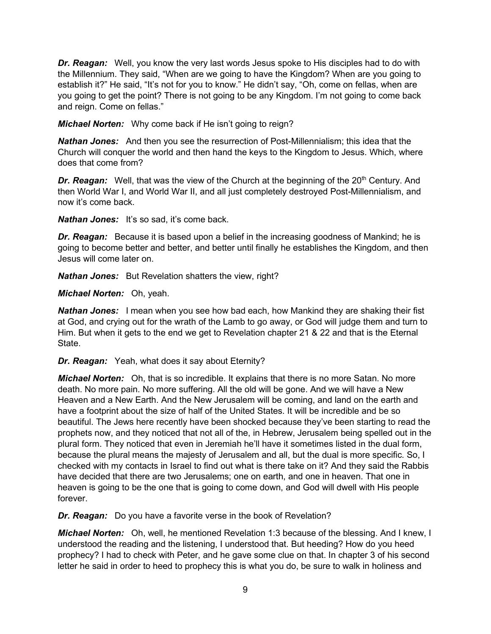*Dr. Reagan:* Well, you know the very last words Jesus spoke to His disciples had to do with the Millennium. They said, "When are we going to have the Kingdom? When are you going to establish it?" He said, "It's not for you to know." He didn't say, "Oh, come on fellas, when are you going to get the point? There is not going to be any Kingdom. I'm not going to come back and reign. Come on fellas."

*Michael Norten:* Why come back if He isn't going to reign?

*Nathan Jones:* And then you see the resurrection of Post-Millennialism; this idea that the Church will conquer the world and then hand the keys to the Kingdom to Jesus. Which, where does that come from?

**Dr. Reagan:** Well, that was the view of the Church at the beginning of the 20<sup>th</sup> Century. And then World War I, and World War II, and all just completely destroyed Post-Millennialism, and now it's come back.

*Nathan Jones:* It's so sad, it's come back.

**Dr. Reagan:** Because it is based upon a belief in the increasing goodness of Mankind; he is going to become better and better, and better until finally he establishes the Kingdom, and then Jesus will come later on.

*Nathan Jones:* But Revelation shatters the view, right?

*Michael Norten:* Oh, yeah.

*Nathan Jones:* I mean when you see how bad each, how Mankind they are shaking their fist at God, and crying out for the wrath of the Lamb to go away, or God will judge them and turn to Him. But when it gets to the end we get to Revelation chapter 21 & 22 and that is the Eternal State.

*Dr. Reagan:* Yeah, what does it say about Eternity?

*Michael Norten:* Oh, that is so incredible. It explains that there is no more Satan. No more death. No more pain. No more suffering. All the old will be gone. And we will have a New Heaven and a New Earth. And the New Jerusalem will be coming, and land on the earth and have a footprint about the size of half of the United States. It will be incredible and be so beautiful. The Jews here recently have been shocked because they've been starting to read the prophets now, and they noticed that not all of the, in Hebrew, Jerusalem being spelled out in the plural form. They noticed that even in Jeremiah he'll have it sometimes listed in the dual form, because the plural means the majesty of Jerusalem and all, but the dual is more specific. So, I checked with my contacts in Israel to find out what is there take on it? And they said the Rabbis have decided that there are two Jerusalems; one on earth, and one in heaven. That one in heaven is going to be the one that is going to come down, and God will dwell with His people forever.

*Dr. Reagan:* Do you have a favorite verse in the book of Revelation?

*Michael Norten:* Oh, well, he mentioned Revelation 1:3 because of the blessing. And I knew, I understood the reading and the listening, I understood that. But heeding? How do you heed prophecy? I had to check with Peter, and he gave some clue on that. In chapter 3 of his second letter he said in order to heed to prophecy this is what you do, be sure to walk in holiness and